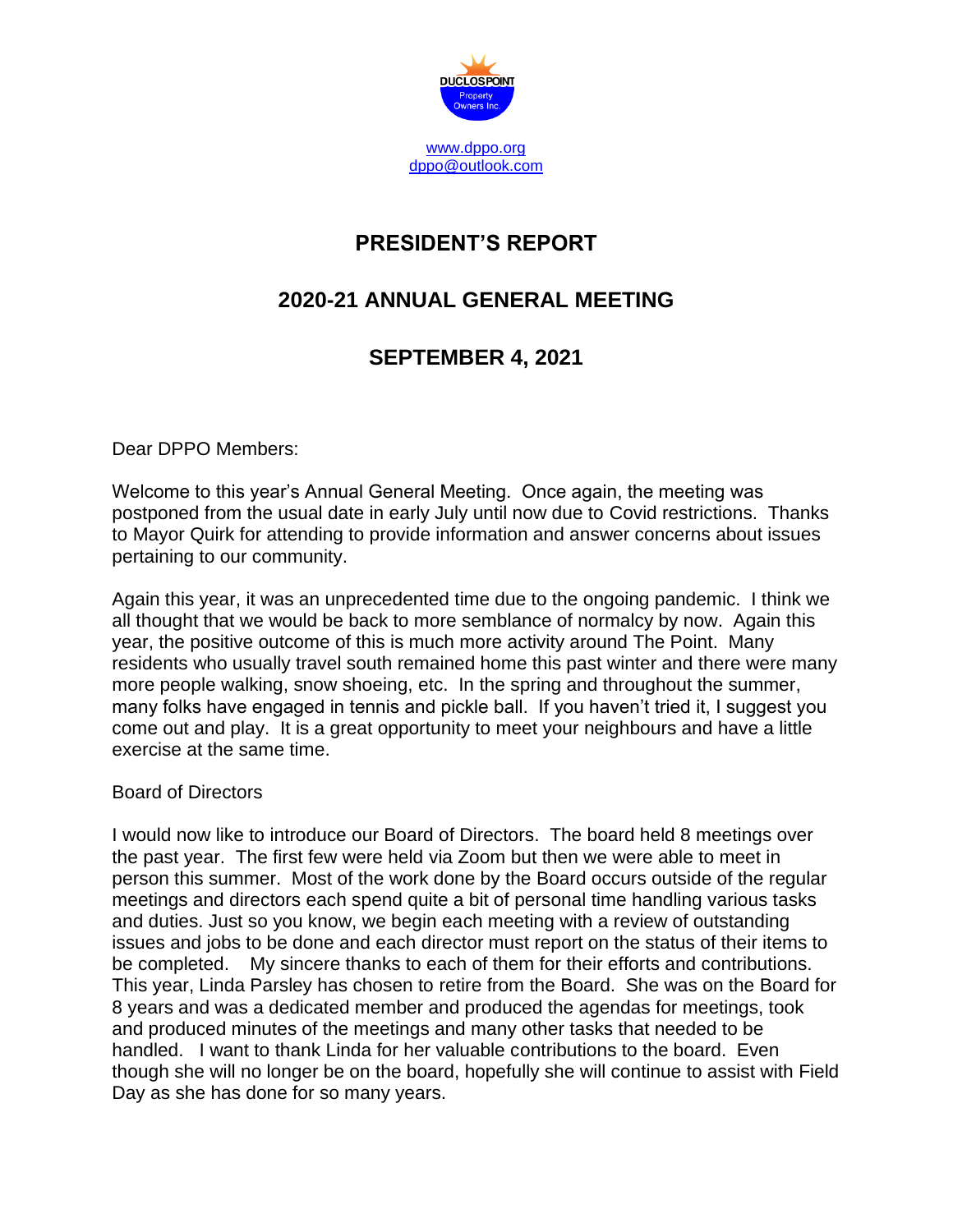

# **PRESIDENT'S REPORT**

# **2020-21 ANNUAL GENERAL MEETING**

## **SEPTEMBER 4, 2021**

Dear DPPO Members:

Welcome to this year's Annual General Meeting. Once again, the meeting was postponed from the usual date in early July until now due to Covid restrictions. Thanks to Mayor Quirk for attending to provide information and answer concerns about issues pertaining to our community.

Again this year, it was an unprecedented time due to the ongoing pandemic. I think we all thought that we would be back to more semblance of normalcy by now. Again this year, the positive outcome of this is much more activity around The Point. Many residents who usually travel south remained home this past winter and there were many more people walking, snow shoeing, etc. In the spring and throughout the summer, many folks have engaged in tennis and pickle ball. If you haven't tried it, I suggest you come out and play. It is a great opportunity to meet your neighbours and have a little exercise at the same time.

## Board of Directors

I would now like to introduce our Board of Directors. The board held 8 meetings over the past year. The first few were held via Zoom but then we were able to meet in person this summer. Most of the work done by the Board occurs outside of the regular meetings and directors each spend quite a bit of personal time handling various tasks and duties. Just so you know, we begin each meeting with a review of outstanding issues and jobs to be done and each director must report on the status of their items to be completed. My sincere thanks to each of them for their efforts and contributions. This year, Linda Parsley has chosen to retire from the Board. She was on the Board for 8 years and was a dedicated member and produced the agendas for meetings, took and produced minutes of the meetings and many other tasks that needed to be handled. I want to thank Linda for her valuable contributions to the board. Even though she will no longer be on the board, hopefully she will continue to assist with Field Day as she has done for so many years.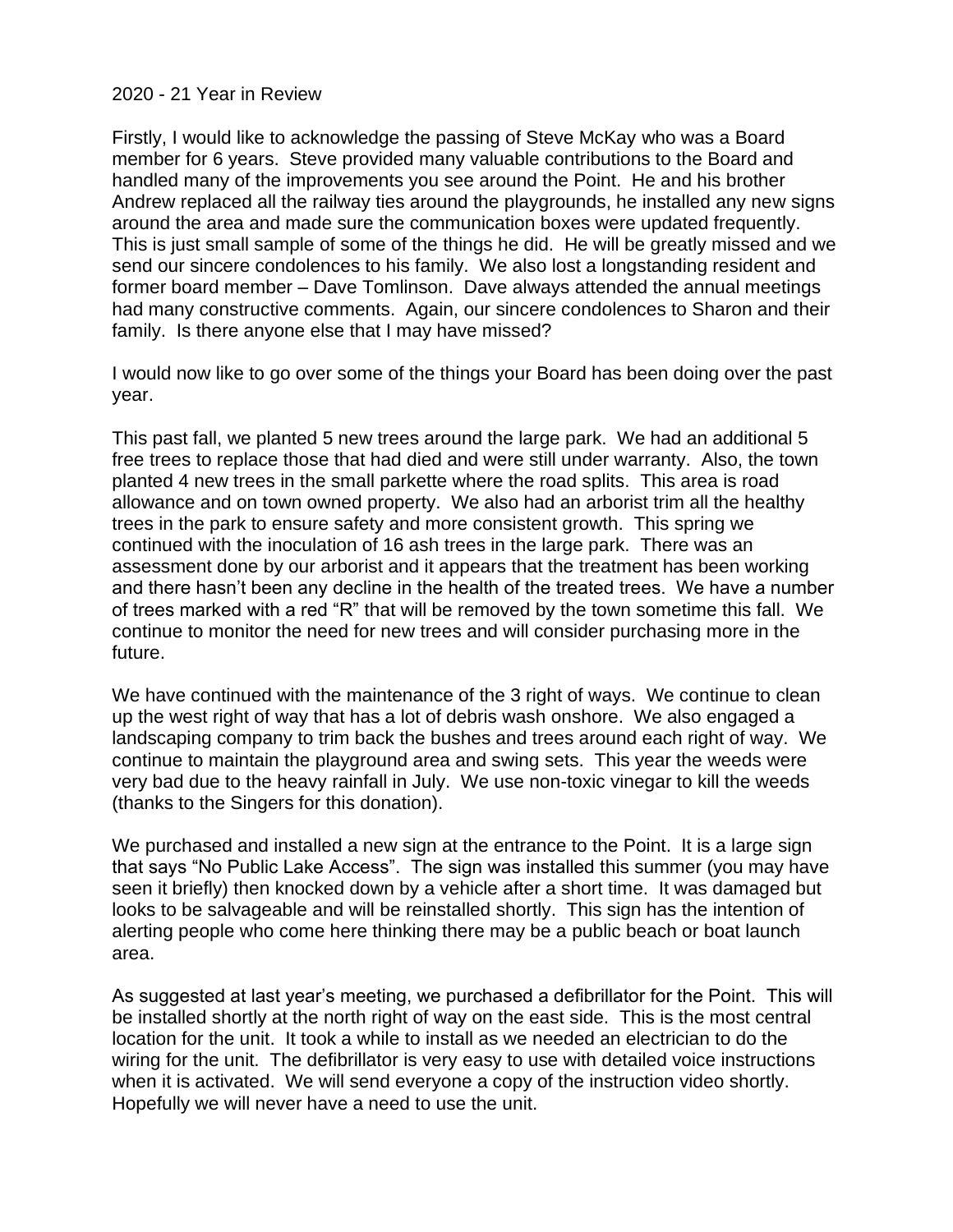### 2020 - 21 Year in Review

Firstly, I would like to acknowledge the passing of Steve McKay who was a Board member for 6 years. Steve provided many valuable contributions to the Board and handled many of the improvements you see around the Point. He and his brother Andrew replaced all the railway ties around the playgrounds, he installed any new signs around the area and made sure the communication boxes were updated frequently. This is just small sample of some of the things he did. He will be greatly missed and we send our sincere condolences to his family. We also lost a longstanding resident and former board member – Dave Tomlinson. Dave always attended the annual meetings had many constructive comments. Again, our sincere condolences to Sharon and their family. Is there anyone else that I may have missed?

I would now like to go over some of the things your Board has been doing over the past year.

This past fall, we planted 5 new trees around the large park. We had an additional 5 free trees to replace those that had died and were still under warranty. Also, the town planted 4 new trees in the small parkette where the road splits. This area is road allowance and on town owned property. We also had an arborist trim all the healthy trees in the park to ensure safety and more consistent growth. This spring we continued with the inoculation of 16 ash trees in the large park. There was an assessment done by our arborist and it appears that the treatment has been working and there hasn't been any decline in the health of the treated trees. We have a number of trees marked with a red "R" that will be removed by the town sometime this fall. We continue to monitor the need for new trees and will consider purchasing more in the future.

We have continued with the maintenance of the 3 right of ways. We continue to clean up the west right of way that has a lot of debris wash onshore. We also engaged a landscaping company to trim back the bushes and trees around each right of way. We continue to maintain the playground area and swing sets. This year the weeds were very bad due to the heavy rainfall in July. We use non-toxic vinegar to kill the weeds (thanks to the Singers for this donation).

We purchased and installed a new sign at the entrance to the Point. It is a large sign that says "No Public Lake Access". The sign was installed this summer (you may have seen it briefly) then knocked down by a vehicle after a short time. It was damaged but looks to be salvageable and will be reinstalled shortly. This sign has the intention of alerting people who come here thinking there may be a public beach or boat launch area.

As suggested at last year's meeting, we purchased a defibrillator for the Point. This will be installed shortly at the north right of way on the east side. This is the most central location for the unit. It took a while to install as we needed an electrician to do the wiring for the unit. The defibrillator is very easy to use with detailed voice instructions when it is activated. We will send everyone a copy of the instruction video shortly. Hopefully we will never have a need to use the unit.